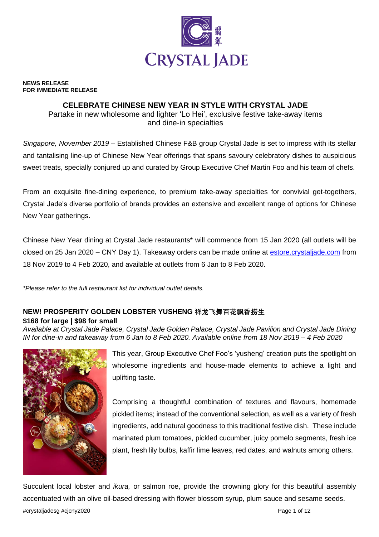

#### **NEWS RELEASE FOR IMMEDIATE RELEASE**

## **CELEBRATE CHINESE NEW YEAR IN STYLE WITH CRYSTAL JADE**

Partake in new wholesome and lighter 'Lo Hei', exclusive festive take-away items and dine-in specialties

*Singapore, November 2019* – Established Chinese F&B group Crystal Jade is set to impress with its stellar and tantalising line-up of Chinese New Year offerings that spans savoury celebratory dishes to auspicious sweet treats, specially conjured up and curated by Group Executive Chef Martin Foo and his team of chefs.

From an exquisite fine-dining experience, to premium take-away specialties for convivial get-togethers, Crystal Jade's diverse portfolio of brands provides an extensive and excellent range of options for Chinese New Year gatherings.

Chinese New Year dining at Crystal Jade restaurants\* will commence from 15 Jan 2020 (all outlets will be closed on 25 Jan 2020 – CNY Day 1). Takeaway orders can be made online at estore.crystaljade.com from 18 Nov 2019 to 4 Feb 2020, and available at outlets from 6 Jan to 8 Feb 2020.

*\*Please refer to the full restaurant list for individual outlet details.*

# **NEW! PROSPERITY GOLDEN LOBSTER YUSHENG 祥龙飞舞百花飘香捞生**

**\$168 for large | \$98 for small**

*Available at Crystal Jade Palace, Crystal Jade Golden Palace, Crystal Jade Pavilion and Crystal Jade Dining IN for dine-in and takeaway from 6 Jan to 8 Feb 2020. Available online from 18 Nov 2019 – 4 Feb 2020*



This year, Group Executive Chef Foo's 'yusheng' creation puts the spotlight on wholesome ingredients and house-made elements to achieve a light and uplifting taste.

Comprising a thoughtful combination of textures and flavours, homemade pickled items; instead of the conventional selection, as well as a variety of fresh ingredients, add natural goodness to this traditional festive dish. These include marinated plum tomatoes, pickled cucumber, juicy pomelo segments, fresh ice plant, fresh lily bulbs, kaffir lime leaves, red dates, and walnuts among others.

#crystaljadesg #cjcny2020 Page 1 of 12 Succulent local lobster and *ikura,* or salmon roe, provide the crowning glory for this beautiful assembly accentuated with an olive oil-based dressing with flower blossom syrup, plum sauce and sesame seeds.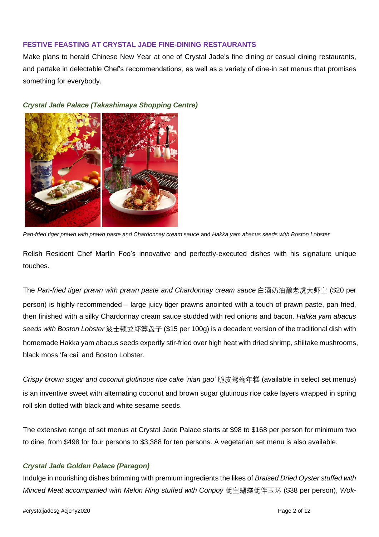### **FESTIVE FEASTING AT CRYSTAL JADE FINE-DINING RESTAURANTS**

Make plans to herald Chinese New Year at one of Crystal Jade's fine dining or casual dining restaurants, and partake in delectable Chef's recommendations, as well as a variety of dine-in set menus that promises something for everybody.



### *Crystal Jade Palace (Takashimaya Shopping Centre)*



Relish Resident Chef Martin Foo's innovative and perfectly-executed dishes with his signature unique touches.

The *Pan-fried tiger prawn with prawn paste and Chardonnay cream sauce* 白酒奶油酿老虎大虾皇 (\$20 per person) is highly-recommended – large juicy tiger prawns anointed with a touch of prawn paste, pan-fried, then finished with a silky Chardonnay cream sauce studded with red onions and bacon. *Hakka yam abacus seeds with Boston Lobster* 波士顿龙虾算盘子 (\$15 per 100g) is a decadent version of the traditional dish with homemade Hakka yam abacus seeds expertly stir-fried over high heat with dried shrimp, shiitake mushrooms, black moss 'fa cai' and Boston Lobster.

*Crispy brown sugar and coconut glutinous rice cake 'nian gao'* 脆皮鸳鸯年糕 (available in select set menus) is an inventive sweet with alternating coconut and brown sugar glutinous rice cake layers wrapped in spring roll skin dotted with black and white sesame seeds.

The extensive range of set menus at Crystal Jade Palace starts at \$98 to \$168 per person for minimum two to dine, from \$498 for four persons to \$3,388 for ten persons. A vegetarian set menu is also available.

# *Crystal Jade Golden Palace (Paragon)*

Indulge in nourishing dishes brimming with premium ingredients the likes of *Braised Dried Oyster stuffed with Minced Meat accompanied with Melon Ring stuffed with Conpoy* 蚝皇蝴蝶蚝伴玉环 (\$38 per person), *Wok-*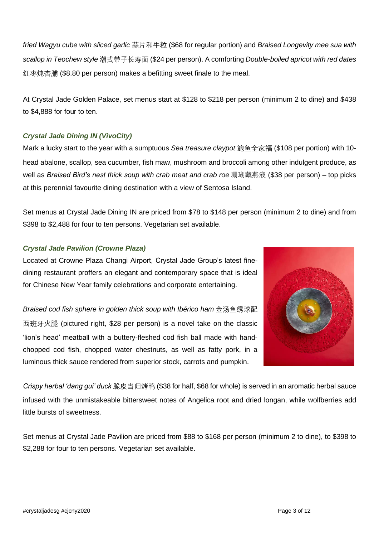*fried Wagyu cube with sliced garlic* 蒜片和牛粒 (\$68 for regular portion) and *Braised Longevity mee sua with scallop in Teochew style* 潮式带子长寿面 (\$24 per person). A comforting *Double-boiled apricot with red dates* 红枣炖杏脯 (\$8.80 per person) makes a befitting sweet finale to the meal.

At Crystal Jade Golden Palace, set menus start at \$128 to \$218 per person (minimum 2 to dine) and \$438 to \$4,888 for four to ten.

# *Crystal Jade Dining IN (VivoCity)*

Mark a lucky start to the year with a sumptuous *Sea treasure claypot* 鲍鱼全家福 (\$108 per portion) with 10 head abalone, scallop, sea cucumber, fish maw, mushroom and broccoli among other indulgent produce, as well as *Braised Bird's nest thick soup with crab meat and crab roe* 珊瑚藏燕液 (\$38 per person) – top picks at this perennial favourite dining destination with a view of Sentosa Island.

Set menus at Crystal Jade Dining IN are priced from \$78 to \$148 per person (minimum 2 to dine) and from \$398 to \$2,488 for four to ten persons. Vegetarian set available.

# *Crystal Jade Pavilion (Crowne Plaza)*

Located at Crowne Plaza Changi Airport, Crystal Jade Group's latest finedining restaurant proffers an elegant and contemporary space that is ideal for Chinese New Year family celebrations and corporate entertaining.

*Braised cod fish sphere in golden thick soup with Ibérico ham* 金汤鱼绣球配 西班牙火腿 (pictured right, \$28 per person) is a novel take on the classic 'lion's head' meatball with a buttery-fleshed cod fish ball made with handchopped cod fish, chopped water chestnuts, as well as fatty pork, in a luminous thick sauce rendered from superior stock, carrots and pumpkin.



*Crispy herbal 'dang gui' duck* 脆皮当归烤鸭 (\$38 for half, \$68 for whole) is served in an aromatic herbal sauce infused with the unmistakeable bittersweet notes of Angelica root and dried longan, while wolfberries add little bursts of sweetness.

Set menus at Crystal Jade Pavilion are priced from \$88 to \$168 per person (minimum 2 to dine), to \$398 to \$2,288 for four to ten persons. Vegetarian set available.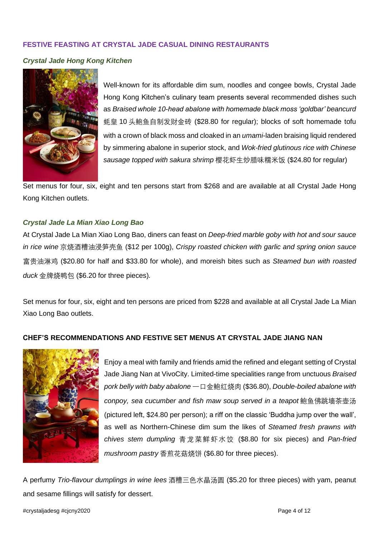### **FESTIVE FEASTING AT CRYSTAL JADE CASUAL DINING RESTAURANTS**

#### *Crystal Jade Hong Kong Kitchen*



Well-known for its affordable dim sum, noodles and congee bowls, Crystal Jade Hong Kong Kitchen's culinary team presents several recommended dishes such as *Braised whole 10-head abalone with homemade black moss 'goldbar' beancurd* 蚝皇 10 头鲍鱼自制发财金砖 (\$28.80 for regular); blocks of soft homemade tofu with a crown of black moss and cloaked in an *umami*-laden braising liquid rendered by simmering abalone in superior stock, and *Wok-fried glutinous rice with Chinese sausage topped with sakura shrimp* 樱花虾生炒腊味糯米饭 (\$24.80 for regular)

Set menus for four, six, eight and ten persons start from \$268 and are available at all Crystal Jade Hong Kong Kitchen outlets.

### *Crystal Jade La Mian Xiao Long Bao*

At Crystal Jade La Mian Xiao Long Bao, diners can feast on *Deep-fried marble goby with hot and sour sauce in rice wine* 京烧酒糟油浸笋壳鱼 (\$12 per 100g), *Crispy roasted chicken with garlic and spring onion sauce* 富贵油淋鸡 (\$20.80 for half and \$33.80 for whole), and moreish bites such as *Steamed bun with roasted duck* 金牌烧鸭包 (\$6.20 for three pieces)*.*

Set menus for four, six, eight and ten persons are priced from \$228 and available at all Crystal Jade La Mian Xiao Long Bao outlets.

### **CHEF'S RECOMMENDATIONS AND FESTIVE SET MENUS AT CRYSTAL JADE JIANG NAN**



Enjoy a meal with family and friends amid the refined and elegant setting of Crystal Jade Jiang Nan at VivoCity. Limited-time specialities range from unctuous *Braised pork belly with baby abalone* 一口金鲍红烧肉 (\$36.80), *Double-boiled abalone with conpoy, sea cucumber and fish maw soup served in a teapot* 鲍鱼佛跳墙茶壶汤 (pictured left, \$24.80 per person); a riff on the classic 'Buddha jump over the wall', as well as Northern-Chinese dim sum the likes of *Steamed fresh prawns with chives stem dumpling* 青龙菜鲜虾水饺 (\$8.80 for six pieces) and *Pan-fried mushroom pastry* 香煎花菇烧饼 (\$6.80 for three pieces).

A perfumy *Trio-flavour dumplings in wine lees* 酒糟三色水晶汤圆 (\$5.20 for three pieces) with yam, peanut and sesame fillings will satisfy for dessert.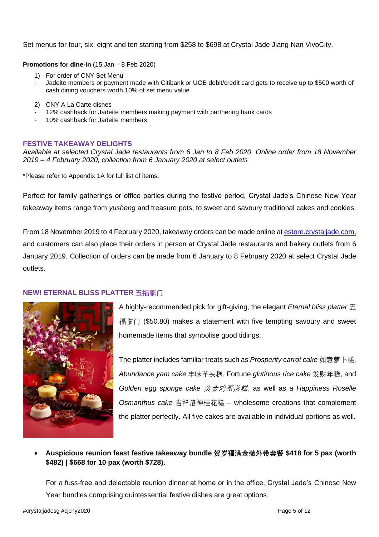Set menus for four, six, eight and ten starting from \$258 to \$698 at Crystal Jade Jiang Nan VivoCity.

**Promotions for dine-in** (15 Jan – 8 Feb 2020)

- 1) For order of CNY Set Menu
- Jadeite members or payment made with Citibank or UOB debit/credit card gets to receive up to \$500 worth of cash dining vouchers worth 10% of set menu value
- 2) CNY A La Carte dishes
- 12% cashback for Jadeite members making payment with partnering bank cards
- 10% cashback for Jadeite members

#### **FESTIVE TAKEAWAY DELIGHTS**

*Available at selected Crystal Jade restaurants from 6 Jan to 8 Feb 2020. Online order from 18 November 2019 – 4 February 2020, collection from 6 January 2020 at select outlets*

\*Please refer to Appendix 1A for full list of items.

Perfect for family gatherings or office parties during the festive period, Crystal Jade's Chinese New Year takeaway items range from *yusheng* and treasure pots, to sweet and savoury traditional cakes and cookies.

From 18 November 2019 to 4 February 2020, takeaway orders can be made online at estore.crystaljade.com, and customers can also place their orders in person at Crystal Jade restaurants and bakery outlets from 6 January 2019. Collection of orders can be made from 6 January to 8 February 2020 at select Crystal Jade outlets.

#### **NEW! ETERNAL BLISS PLATTER 五福临门**



A highly-recommended pick for gift-giving, the elegant *Eternal bliss platter* 五 福临门 (\$50.80) makes a statement with five tempting savoury and sweet homemade items that symbolise good tidings.

The platter includes familiar treats such as *Prosperity carrot cake* 如意萝卜糕, *Abundance yam cake* 丰味芋头糕, Fortune *glutinous rice cake* 发财年糕, and *Golden egg sponge cake* 黄金鸡蛋蒸糕, as well as a *Happiness Roselle Osmanthus cake* 吉祥洛神桂花糕 *–* wholesome creations that complement the platter perfectly. All five cakes are available in individual portions as well.

## • **Auspicious reunion feast festive takeaway bundle 贺岁福满金装外带套餐 \$418 for 5 pax (worth \$482) | \$668 for 10 pax (worth \$728).**

For a fuss-free and delectable reunion dinner at home or in the office, Crystal Jade's Chinese New Year bundles comprising quintessential festive dishes are great options.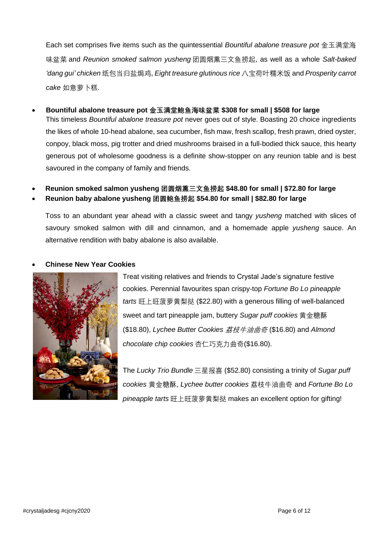Each set comprises five items such as the quintessential *Bountiful abalone treasure pot* 金玉满堂海 味盆菜 and *Reunion smoked salmon yusheng* 团圆烟熏三文鱼捞起, as well as a whole *Salt-baked 'dang gui' chicken* 纸包当归盐焗鸡, *Eight treasure glutinous rice* 八宝荷叶糯米饭 and *Prosperity carrot cake* 如意萝卜糕.

- **Bountiful abalone treasure pot 金玉满堂鲍鱼海味盆菜 \$308 for small | \$508 for large** This timeless *Bountiful abalone treasure pot* never goes out of style. Boasting 20 choice ingredients the likes of whole 10-head abalone, sea cucumber, fish maw, fresh scallop, fresh prawn, dried oyster, conpoy, black moss, pig trotter and dried mushrooms braised in a full-bodied thick sauce, this hearty generous pot of wholesome goodness is a definite show-stopper on any reunion table and is best savoured in the company of family and friends.
- **Reunion smoked salmon yusheng 团圆烟熏三文鱼捞起 \$48.80 for small | \$72.80 for large**
- **Reunion baby abalone yusheng 团圆鲍鱼捞起 \$54.80 for small | \$82.80 for large**

Toss to an abundant year ahead with a classic sweet and tangy *yusheng* matched with slices of savoury smoked salmon with dill and cinnamon, and a homemade apple *yusheng* sauce. An alternative rendition with baby abalone is also available.

#### • **Chinese New Year Cookies**



Treat visiting relatives and friends to Crystal Jade's signature festive cookies. Perennial favourites span crispy-top *Fortune Bo Lo pineapple tarts* 旺上旺菠萝黄梨挞 (\$22.80) with a generous filling of well-balanced sweet and tart pineapple jam, buttery *Sugar puff cookies* 黄金糖酥 (\$18.80), *Lychee Butter Cookies* 荔枝牛油曲奇 (\$16.80) and *Almond chocolate chip cookies* 杏仁巧克力曲奇(\$16.80).

The *Lucky Trio Bundle* 三星报喜 (\$52.80) consisting a trinity of *Sugar puff cookies* 黄金糖酥, *Lychee butter cookies* 荔枝牛油曲奇 and *Fortune Bo Lo pineapple tarts* 旺上旺菠萝黄梨挞 makes an excellent option for gifting!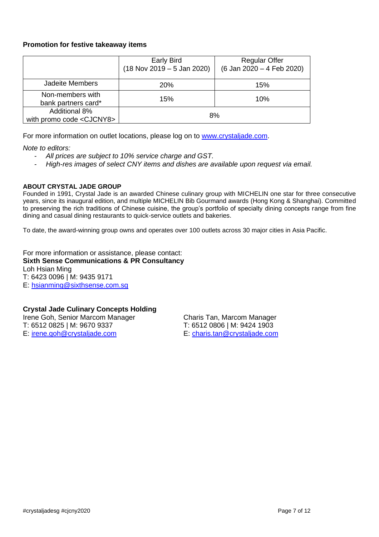## **Promotion for festive takeaway items**

|                                                           | <b>Early Bird</b><br>$(18$ Nov 2019 - 5 Jan 2020) | <b>Regular Offer</b><br>(6 Jan 2020 - 4 Feb 2020) |
|-----------------------------------------------------------|---------------------------------------------------|---------------------------------------------------|
| <b>Jadeite Members</b>                                    | <b>20%</b>                                        | 15%                                               |
| Non-members with<br>bank partners card*                   | 15%                                               | 10%                                               |
| <b>Additional 8%</b><br>with promo code <cjcny8></cjcny8> | 8%                                                |                                                   |

For more information on outlet locations, please log on to [www.crystaljade.com.](http://www.crystaljade.com/)

*Note to editors:* 

- *All prices are subject to 10% service charge and GST.*
- *High-res images of select CNY items and dishes are available upon request via email.*

#### **ABOUT CRYSTAL JADE GROUP**

Founded in 1991, Crystal Jade is an awarded Chinese culinary group with MICHELIN one star for three consecutive years, since its inaugural edition, and multiple MICHELIN Bib Gourmand awards (Hong Kong & Shanghai). Committed to preserving the rich traditions of Chinese cuisine, the group's portfolio of specialty dining concepts range from fine dining and casual dining restaurants to quick-service outlets and bakeries.

To date, the award-winning group owns and operates over 100 outlets across 30 major cities in Asia Pacific.

For more information or assistance, please contact: **Sixth Sense Communications & PR Consultancy** Loh Hsian Ming T: 6423 0096 | M: 9435 9171 E: [hsianming@sixthsense.com.sg](mailto:hsianming@sixthsense.com.sg)

### **Crystal Jade Culinary Concepts Holding**

Irene Goh, Senior Marcom Manager Charis Tan, Marcom Manager T: 6512 0825 | M: 9670 9337 T: 6512 0806 | M: 9424 1903 E: [irene.goh@crystaljade.com](mailto:irene.goh@crystaljade.com) E: [charis.tan@crystaljade.com](mailto:charis.tan@crystaljade.com)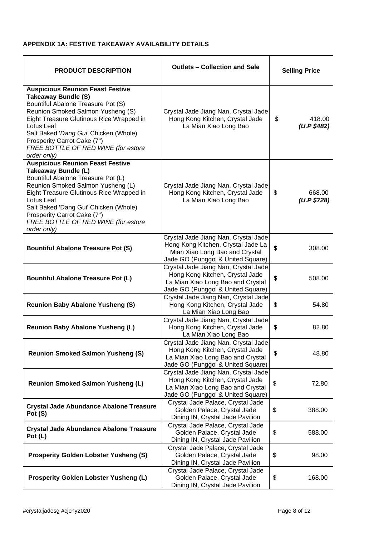#### **APPENDIX 1A: FESTIVE TAKEAWAY AVAILABILITY DETAILS**

| <b>PRODUCT DESCRIPTION</b>                                                                                                                                                                                                                                                                                                               | <b>Outlets - Collection and Sale</b>                                                                                                              | <b>Selling Price</b>        |
|------------------------------------------------------------------------------------------------------------------------------------------------------------------------------------------------------------------------------------------------------------------------------------------------------------------------------------------|---------------------------------------------------------------------------------------------------------------------------------------------------|-----------------------------|
| <b>Auspicious Reunion Feast Festive</b><br><b>Takeaway Bundle (S)</b><br>Bountiful Abalone Treasure Pot (S)<br>Reunion Smoked Salmon Yusheng (S)<br>Eight Treasure Glutinous Rice Wrapped in<br>Lotus Leaf<br>Salt Baked 'Dang Gui' Chicken (Whole)<br>Prosperity Carrot Cake (7")<br>FREE BOTTLE OF RED WINE (for estore<br>order only) | Crystal Jade Jiang Nan, Crystal Jade<br>Hong Kong Kitchen, Crystal Jade<br>La Mian Xiao Long Bao                                                  | \$<br>418.00<br>(U.P \$482) |
| <b>Auspicious Reunion Feast Festive</b><br>Takeaway Bundle (L)<br>Bountiful Abalone Treasure Pot (L)<br>Reunion Smoked Salmon Yusheng (L)<br>Eight Treasure Glutinous Rice Wrapped in<br>Lotus Leaf<br>Salt Baked 'Dang Gui' Chicken (Whole)<br>Prosperity Carrot Cake (7")<br>FREE BOTTLE OF RED WINE (for estore<br>order only)        | Crystal Jade Jiang Nan, Crystal Jade<br>Hong Kong Kitchen, Crystal Jade<br>La Mian Xiao Long Bao                                                  | \$<br>668.00<br>(U.P \$728) |
| <b>Bountiful Abalone Treasure Pot (S)</b>                                                                                                                                                                                                                                                                                                | Crystal Jade Jiang Nan, Crystal Jade<br>Hong Kong Kitchen, Crystal Jade La<br>Mian Xiao Long Bao and Crystal<br>Jade GO (Punggol & United Square) | \$<br>308.00                |
| <b>Bountiful Abalone Treasure Pot (L)</b>                                                                                                                                                                                                                                                                                                | Crystal Jade Jiang Nan, Crystal Jade<br>Hong Kong Kitchen, Crystal Jade<br>La Mian Xiao Long Bao and Crystal<br>Jade GO (Punggol & United Square) | \$<br>508.00                |
| <b>Reunion Baby Abalone Yusheng (S)</b>                                                                                                                                                                                                                                                                                                  | Crystal Jade Jiang Nan, Crystal Jade<br>Hong Kong Kitchen, Crystal Jade<br>La Mian Xiao Long Bao                                                  | \$<br>54.80                 |
| <b>Reunion Baby Abalone Yusheng (L)</b>                                                                                                                                                                                                                                                                                                  | Crystal Jade Jiang Nan, Crystal Jade<br>Hong Kong Kitchen, Crystal Jade<br>La Mian Xiao Long Bao                                                  | \$<br>82.80                 |
| <b>Reunion Smoked Salmon Yusheng (S)</b>                                                                                                                                                                                                                                                                                                 | Crystal Jade Jiang Nan, Crystal Jade<br>Hong Kong Kitchen, Crystal Jade<br>La Mian Xiao Long Bao and Crystal<br>Jade GO (Punggol & United Square) | \$<br>48.80                 |
| <b>Reunion Smoked Salmon Yusheng (L)</b>                                                                                                                                                                                                                                                                                                 | Crystal Jade Jiang Nan, Crystal Jade<br>Hong Kong Kitchen, Crystal Jade<br>La Mian Xiao Long Bao and Crystal<br>Jade GO (Punggol & United Square) | \$<br>72.80                 |
| <b>Crystal Jade Abundance Abalone Treasure</b><br>Pot (S)                                                                                                                                                                                                                                                                                | Crystal Jade Palace, Crystal Jade<br>Golden Palace, Crystal Jade<br>Dining IN, Crystal Jade Pavilion                                              | \$<br>388.00                |
| <b>Crystal Jade Abundance Abalone Treasure</b><br>Pot (L)                                                                                                                                                                                                                                                                                | Crystal Jade Palace, Crystal Jade<br>Golden Palace, Crystal Jade<br>Dining IN, Crystal Jade Pavilion                                              | \$<br>588.00                |
| <b>Prosperity Golden Lobster Yusheng (S)</b>                                                                                                                                                                                                                                                                                             | Crystal Jade Palace, Crystal Jade<br>Golden Palace, Crystal Jade<br>Dining IN, Crystal Jade Pavilion                                              | \$<br>98.00                 |
| <b>Prosperity Golden Lobster Yusheng (L)</b>                                                                                                                                                                                                                                                                                             | Crystal Jade Palace, Crystal Jade<br>Golden Palace, Crystal Jade<br>Dining IN, Crystal Jade Pavilion                                              | \$<br>168.00                |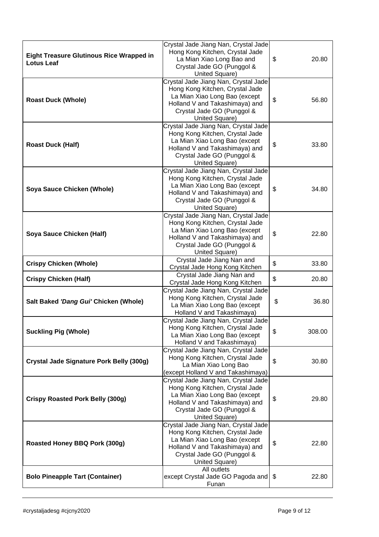| <b>Eight Treasure Glutinous Rice Wrapped in</b><br><b>Lotus Leaf</b> | Crystal Jade Jiang Nan, Crystal Jade<br>Hong Kong Kitchen, Crystal Jade<br>La Mian Xiao Long Bao and<br>Crystal Jade GO (Punggol &                                                         | \$<br>20.80             |
|----------------------------------------------------------------------|--------------------------------------------------------------------------------------------------------------------------------------------------------------------------------------------|-------------------------|
|                                                                      | United Square)<br>Crystal Jade Jiang Nan, Crystal Jade                                                                                                                                     |                         |
| <b>Roast Duck (Whole)</b>                                            | Hong Kong Kitchen, Crystal Jade<br>La Mian Xiao Long Bao (except<br>Holland V and Takashimaya) and<br>Crystal Jade GO (Punggol &<br>United Square)                                         | \$<br>56.80             |
| <b>Roast Duck (Half)</b>                                             | Crystal Jade Jiang Nan, Crystal Jade<br>Hong Kong Kitchen, Crystal Jade<br>La Mian Xiao Long Bao (except<br>Holland V and Takashimaya) and<br>Crystal Jade GO (Punggol &<br>United Square) | \$<br>33.80             |
| Soya Sauce Chicken (Whole)                                           | Crystal Jade Jiang Nan, Crystal Jade<br>Hong Kong Kitchen, Crystal Jade<br>La Mian Xiao Long Bao (except<br>Holland V and Takashimaya) and<br>Crystal Jade GO (Punggol &<br>United Square) | \$<br>34.80             |
| Soya Sauce Chicken (Half)                                            | Crystal Jade Jiang Nan, Crystal Jade<br>Hong Kong Kitchen, Crystal Jade<br>La Mian Xiao Long Bao (except<br>Holland V and Takashimaya) and<br>Crystal Jade GO (Punggol &<br>United Square) | \$<br>22.80             |
| <b>Crispy Chicken (Whole)</b>                                        | Crystal Jade Jiang Nan and<br>Crystal Jade Hong Kong Kitchen                                                                                                                               | \$<br>33.80             |
| <b>Crispy Chicken (Half)</b>                                         | Crystal Jade Jiang Nan and<br>Crystal Jade Hong Kong Kitchen                                                                                                                               | \$<br>20.80             |
| Salt Baked 'Dang Gui' Chicken (Whole)                                | Crystal Jade Jiang Nan, Crystal Jade<br>Hong Kong Kitchen, Crystal Jade<br>La Mian Xiao Long Bao (except<br>Holland V and Takashimaya)                                                     | \$<br>36.80             |
| <b>Suckling Pig (Whole)</b>                                          | Crystal Jade Jiang Nan, Crystal Jade<br>Hong Kong Kitchen, Crystal Jade<br>La Mian Xiao Long Bao (except<br>Holland V and Takashimaya)                                                     | \$<br>308.00            |
| Crystal Jade Signature Pork Belly (300g)                             | Crystal Jade Jiang Nan, Crystal Jade<br>Hong Kong Kitchen, Crystal Jade<br>La Mian Xiao Long Bao<br>(except Holland V and Takashimaya)                                                     | $\mathfrak{S}$<br>30.80 |
| <b>Crispy Roasted Pork Belly (300g)</b>                              | Crystal Jade Jiang Nan, Crystal Jade<br>Hong Kong Kitchen, Crystal Jade<br>La Mian Xiao Long Bao (except<br>Holland V and Takashimaya) and<br>Crystal Jade GO (Punggol &<br>United Square) | \$<br>29.80             |
| Roasted Honey BBQ Pork (300g)                                        | Crystal Jade Jiang Nan, Crystal Jade<br>Hong Kong Kitchen, Crystal Jade<br>La Mian Xiao Long Bao (except<br>Holland V and Takashimaya) and<br>Crystal Jade GO (Punggol &<br>United Square) | \$<br>22.80             |
| <b>Bolo Pineapple Tart (Container)</b>                               | All outlets<br>except Crystal Jade GO Pagoda and<br>Funan                                                                                                                                  | \$<br>22.80             |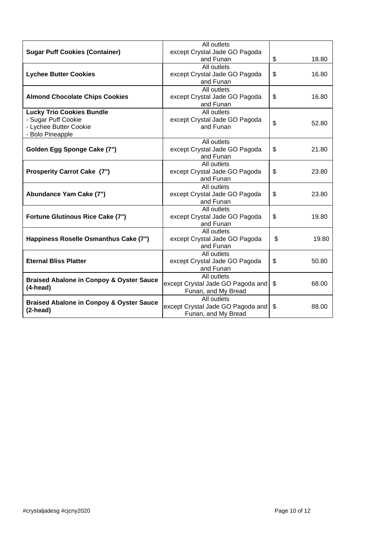| <b>Sugar Puff Cookies (Container)</b>                                                                 | All outlets<br>except Crystal Jade GO Pagoda<br>and Funan               | \$<br>18.80 |
|-------------------------------------------------------------------------------------------------------|-------------------------------------------------------------------------|-------------|
| <b>Lychee Butter Cookies</b>                                                                          | All outlets<br>except Crystal Jade GO Pagoda<br>and Funan               | \$<br>16.80 |
| <b>Almond Chocolate Chips Cookies</b>                                                                 | All outlets<br>except Crystal Jade GO Pagoda<br>and Funan               | \$<br>16.80 |
| <b>Lucky Trio Cookies Bundle</b><br>- Sugar Puff Cookie<br>- Lychee Butter Cookie<br>- Bolo Pineapple | All outlets<br>except Crystal Jade GO Pagoda<br>and Funan               | \$<br>52.80 |
| Golden Egg Sponge Cake (7")                                                                           | All outlets<br>except Crystal Jade GO Pagoda<br>and Funan               | \$<br>21.80 |
| <b>Prosperity Carrot Cake (7")</b>                                                                    | All outlets<br>except Crystal Jade GO Pagoda<br>and Funan               | \$<br>23.80 |
| Abundance Yam Cake (7")                                                                               | All outlets<br>except Crystal Jade GO Pagoda<br>and Funan               | \$<br>23.80 |
| <b>Fortune Glutinous Rice Cake (7")</b>                                                               | All outlets<br>except Crystal Jade GO Pagoda<br>and Funan               | \$<br>19.80 |
| Happiness Roselle Osmanthus Cake (7")                                                                 | All outlets<br>except Crystal Jade GO Pagoda<br>and Funan               | \$<br>19.80 |
| <b>Eternal Bliss Platter</b>                                                                          | All outlets<br>except Crystal Jade GO Pagoda<br>and Funan               | \$<br>50.80 |
| <b>Braised Abalone in Conpoy &amp; Oyster Sauce</b><br>$(4$ -head)                                    | All outlets<br>except Crystal Jade GO Pagoda and<br>Funan, and My Bread | \$<br>68.00 |
| <b>Braised Abalone in Conpoy &amp; Oyster Sauce</b><br>$(2$ -head)                                    | All outlets<br>except Crystal Jade GO Pagoda and<br>Funan, and My Bread | \$<br>88.00 |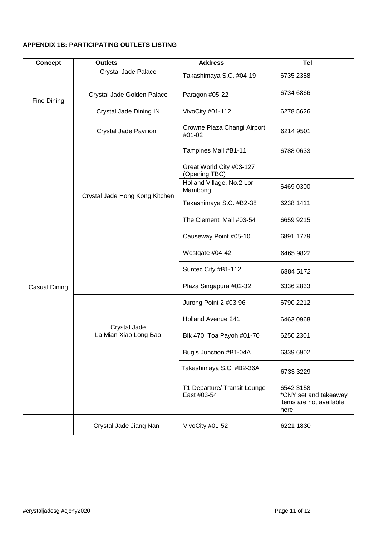# **APPENDIX 1B: PARTICIPATING OUTLETS LISTING**

| <b>Concept</b> | <b>Outlets</b>                        | <b>Address</b>                              | <b>Tel</b>                                                            |
|----------------|---------------------------------------|---------------------------------------------|-----------------------------------------------------------------------|
| Fine Dining    | Crystal Jade Palace                   | Takashimaya S.C. #04-19                     | 6735 2388                                                             |
|                | Crystal Jade Golden Palace            | Paragon #05-22                              | 6734 6866                                                             |
|                | Crystal Jade Dining IN                | VivoCity #01-112                            | 6278 5626                                                             |
|                | <b>Crystal Jade Pavilion</b>          | Crowne Plaza Changi Airport<br>#01-02       | 6214 9501                                                             |
|                | Crystal Jade Hong Kong Kitchen        | Tampines Mall #B1-11                        | 6788 0633                                                             |
|                |                                       | Great World City #03-127<br>(Opening TBC)   |                                                                       |
|                |                                       | Holland Village, No.2 Lor<br>Mambong        | 6469 0300                                                             |
|                |                                       | Takashimaya S.C. #B2-38                     | 6238 1411                                                             |
|                |                                       | The Clementi Mall #03-54                    | 6659 9215                                                             |
|                |                                       | Causeway Point #05-10                       | 6891 1779                                                             |
| Casual Dining  |                                       | Westgate #04-42                             | 6465 9822                                                             |
|                |                                       | Suntec City #B1-112                         | 6884 5172                                                             |
|                |                                       | Plaza Singapura #02-32                      | 6336 2833                                                             |
|                | Crystal Jade<br>La Mian Xiao Long Bao | Jurong Point 2 #03-96                       | 6790 2212                                                             |
|                |                                       | <b>Holland Avenue 241</b>                   | 6463 0968                                                             |
|                |                                       | Blk 470, Toa Payoh #01-70                   | 6250 2301                                                             |
|                |                                       | Bugis Junction #B1-04A                      | 6339 6902                                                             |
|                |                                       | Takashimaya S.C. #B2-36A                    | 6733 3229                                                             |
|                |                                       | T1 Departure/ Transit Lounge<br>East #03-54 | 6542 3158<br>*CNY set and takeaway<br>items are not available<br>here |
|                | Crystal Jade Jiang Nan                | VivoCity #01-52                             | 6221 1830                                                             |